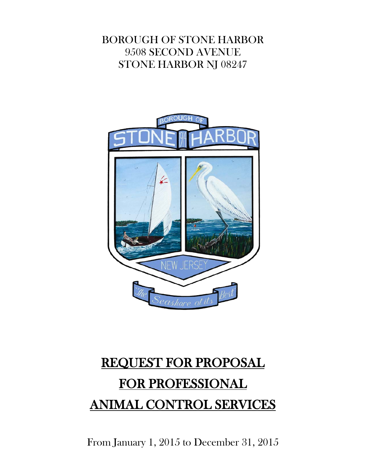# BOROUGH OF STONE HARBOR 9508 SECOND AVENUE STONE HARBOR NJ 08247



# REQUEST FOR PROPOSAL FOR PROFESSIONAL ANIMAL CONTROL SERVICES

From January 1, 2015 to December 31, 2015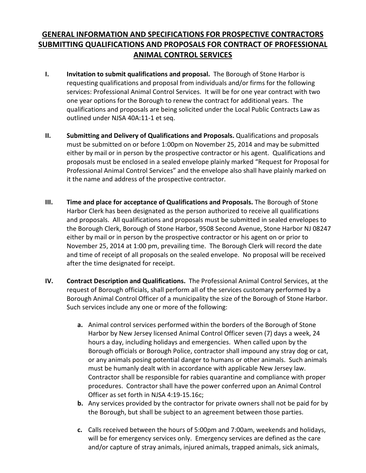## **GENERAL INFORMATION AND SPECIFICATIONS FOR PROSPECTIVE CONTRACTORS SUBMITTING QUALIFICATIONS AND PROPOSALS FOR CONTRACT OF PROFESSIONAL ANIMAL CONTROL SERVICES**

- **I. Invitation to submit qualifications and proposal.** The Borough of Stone Harbor is requesting qualifications and proposal from individuals and/or firms for the following services: Professional Animal Control Services. It will be for one year contract with two one year options for the Borough to renew the contract for additional years. The qualifications and proposals are being solicited under the Local Public Contracts Law as outlined under NJSA 40A:11-1 et seq.
- **II. Submitting and Delivery of Qualifications and Proposals.** Qualifications and proposals must be submitted on or before 1:00pm on November 25, 2014 and may be submitted either by mail or in person by the prospective contractor or his agent. Qualifications and proposals must be enclosed in a sealed envelope plainly marked "Request for Proposal for Professional Animal Control Services" and the envelope also shall have plainly marked on it the name and address of the prospective contractor.
- **III. Time and place for acceptance of Qualifications and Proposals.** The Borough of Stone Harbor Clerk has been designated as the person authorized to receive all qualifications and proposals. All qualifications and proposals must be submitted in sealed envelopes to the Borough Clerk, Borough of Stone Harbor, 9508 Second Avenue, Stone Harbor NJ 08247 either by mail or in person by the prospective contractor or his agent on or prior to November 25, 2014 at 1:00 pm, prevailing time. The Borough Clerk will record the date and time of receipt of all proposals on the sealed envelope. No proposal will be received after the time designated for receipt.
- **IV. Contract Description and Qualifications.** The Professional Animal Control Services, at the request of Borough officials, shall perform all of the services customary performed by a Borough Animal Control Officer of a municipality the size of the Borough of Stone Harbor. Such services include any one or more of the following:
	- **a.** Animal control services performed within the borders of the Borough of Stone Harbor by New Jersey licensed Animal Control Officer seven (7) days a week, 24 hours a day, including holidays and emergencies. When called upon by the Borough officials or Borough Police, contractor shall impound any stray dog or cat, or any animals posing potential danger to humans or other animals. Such animals must be humanly dealt with in accordance with applicable New Jersey law. Contractor shall be responsible for rabies quarantine and compliance with proper procedures. Contractor shall have the power conferred upon an Animal Control Officer as set forth in NJSA 4:19-15.16c;
	- **b.** Any services provided by the contractor for private owners shall not be paid for by the Borough, but shall be subject to an agreement between those parties.
	- **c.** Calls received between the hours of 5:00pm and 7:00am, weekends and holidays, will be for emergency services only. Emergency services are defined as the care and/or capture of stray animals, injured animals, trapped animals, sick animals,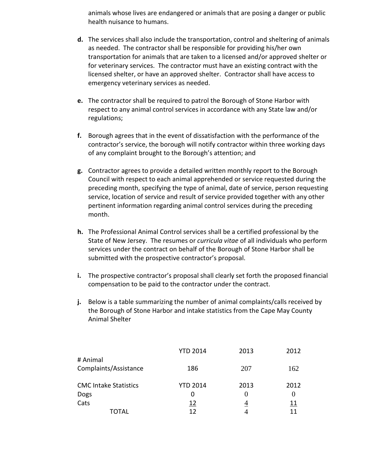animals whose lives are endangered or animals that are posing a danger or public health nuisance to humans.

- **d.** The services shall also include the transportation, control and sheltering of animals as needed. The contractor shall be responsible for providing his/her own transportation for animals that are taken to a licensed and/or approved shelter or for veterinary services. The contractor must have an existing contract with the licensed shelter, or have an approved shelter. Contractor shall have access to emergency veterinary services as needed.
- **e.** The contractor shall be required to patrol the Borough of Stone Harbor with respect to any animal control services in accordance with any State law and/or regulations;
- **f.** Borough agrees that in the event of dissatisfaction with the performance of the contractor's service, the borough will notify contractor within three working days of any complaint brought to the Borough's attention; and
- **g.** Contractor agrees to provide a detailed written monthly report to the Borough Council with respect to each animal apprehended or service requested during the preceding month, specifying the type of animal, date of service, person requesting service, location of service and result of service provided together with any other pertinent information regarding animal control services during the preceding month.
- **h.** The Professional Animal Control services shall be a certified professional by the State of New Jersey. The resumes or *curricula vitae* of all individuals who perform services under the contract on behalf of the Borough of Stone Harbor shall be submitted with the prospective contractor's proposal.
- **i.** The prospective contractor's proposal shall clearly set forth the proposed financial compensation to be paid to the contractor under the contract.
- **j.** Below is a table summarizing the number of animal complaints/calls received by the Borough of Stone Harbor and intake statistics from the Cape May County Animal Shelter

|                              | <b>YTD 2014</b> | 2013           | 2012 |
|------------------------------|-----------------|----------------|------|
| # Animal                     |                 |                |      |
| Complaints/Assistance        | 186             | 207            | 162  |
|                              |                 |                |      |
| <b>CMC Intake Statistics</b> | <b>YTD 2014</b> | 2013           | 2012 |
| Dogs                         | 0               | $\theta$       |      |
| Cats                         | <u> 12</u>      | $\overline{4}$ | 11   |
| TOTAL                        | 12              |                | 11   |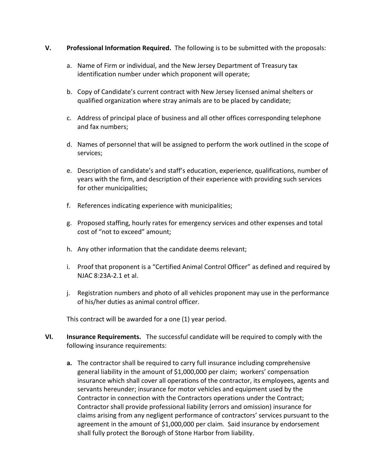## **V. Professional Information Required.** The following is to be submitted with the proposals:

- a. Name of Firm or individual, and the New Jersey Department of Treasury tax identification number under which proponent will operate;
- b. Copy of Candidate's current contract with New Jersey licensed animal shelters or qualified organization where stray animals are to be placed by candidate;
- c. Address of principal place of business and all other offices corresponding telephone and fax numbers;
- d. Names of personnel that will be assigned to perform the work outlined in the scope of services;
- e. Description of candidate's and staff's education, experience, qualifications, number of years with the firm, and description of their experience with providing such services for other municipalities;
- f. References indicating experience with municipalities;
- g. Proposed staffing, hourly rates for emergency services and other expenses and total cost of "not to exceed" amount;
- h. Any other information that the candidate deems relevant;
- i. Proof that proponent is a "Certified Animal Control Officer" as defined and required by NJAC 8:23A-2.1 et al.
- j. Registration numbers and photo of all vehicles proponent may use in the performance of his/her duties as animal control officer.

This contract will be awarded for a one (1) year period.

- **VI. Insurance Requirements.** The successful candidate will be required to comply with the following insurance requirements:
	- **a.** The contractor shall be required to carry full insurance including comprehensive general liability in the amount of \$1,000,000 per claim; workers' compensation insurance which shall cover all operations of the contractor, its employees, agents and servants hereunder; insurance for motor vehicles and equipment used by the Contractor in connection with the Contractors operations under the Contract; Contractor shall provide professional liability (errors and omission) insurance for claims arising from any negligent performance of contractors' services pursuant to the agreement in the amount of \$1,000,000 per claim. Said insurance by endorsement shall fully protect the Borough of Stone Harbor from liability.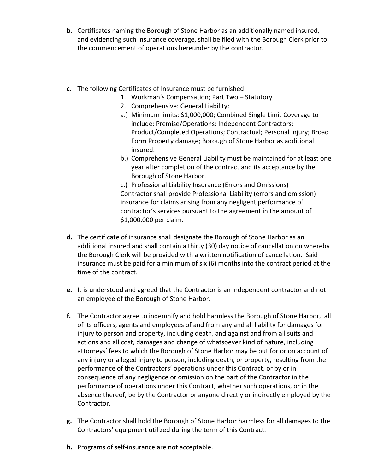- **b.** Certificates naming the Borough of Stone Harbor as an additionally named insured, and evidencing such insurance coverage, shall be filed with the Borough Clerk prior to the commencement of operations hereunder by the contractor.
- **c.** The following Certificates of Insurance must be furnished:
	- 1. Workman's Compensation; Part Two Statutory
	- 2. Comprehensive: General Liability:
	- a.) Minimum limits: \$1,000,000; Combined Single Limit Coverage to include: Premise/Operations: Independent Contractors; Product/Completed Operations; Contractual; Personal Injury; Broad Form Property damage; Borough of Stone Harbor as additional insured.
	- b.) Comprehensive General Liability must be maintained for at least one year after completion of the contract and its acceptance by the Borough of Stone Harbor.

c.) Professional Liability Insurance (Errors and Omissions) Contractor shall provide Professional Liability (errors and omission) insurance for claims arising from any negligent performance of contractor's services pursuant to the agreement in the amount of \$1,000,000 per claim.

- **d.** The certificate of insurance shall designate the Borough of Stone Harbor as an additional insured and shall contain a thirty (30) day notice of cancellation on whereby the Borough Clerk will be provided with a written notification of cancellation. Said insurance must be paid for a minimum of six (6) months into the contract period at the time of the contract.
- **e.** It is understood and agreed that the Contractor is an independent contractor and not an employee of the Borough of Stone Harbor.
- **f.** The Contractor agree to indemnify and hold harmless the Borough of Stone Harbor, all of its officers, agents and employees of and from any and all liability for damages for injury to person and property, including death, and against and from all suits and actions and all cost, damages and change of whatsoever kind of nature, including attorneys' fees to which the Borough of Stone Harbor may be put for or on account of any injury or alleged injury to person, including death, or property, resulting from the performance of the Contractors' operations under this Contract, or by or in consequence of any negligence or omission on the part of the Contractor in the performance of operations under this Contract, whether such operations, or in the absence thereof, be by the Contractor or anyone directly or indirectly employed by the Contractor.
- **g.** The Contractor shall hold the Borough of Stone Harbor harmless for all damages to the Contractors' equipment utilized during the term of this Contract.
- **h.** Programs of self-insurance are not acceptable.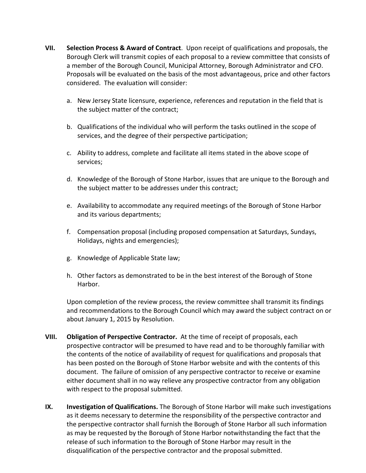- **VII. Selection Process & Award of Contract**. Upon receipt of qualifications and proposals, the Borough Clerk will transmit copies of each proposal to a review committee that consists of a member of the Borough Council, Municipal Attorney, Borough Administrator and CFO. Proposals will be evaluated on the basis of the most advantageous, price and other factors considered. The evaluation will consider:
	- a. New Jersey State licensure, experience, references and reputation in the field that is the subject matter of the contract;
	- b. Qualifications of the individual who will perform the tasks outlined in the scope of services, and the degree of their perspective participation;
	- c. Ability to address, complete and facilitate all items stated in the above scope of services;
	- d. Knowledge of the Borough of Stone Harbor, issues that are unique to the Borough and the subject matter to be addresses under this contract;
	- e. Availability to accommodate any required meetings of the Borough of Stone Harbor and its various departments;
	- f. Compensation proposal (including proposed compensation at Saturdays, Sundays, Holidays, nights and emergencies);
	- g. Knowledge of Applicable State law;
	- h. Other factors as demonstrated to be in the best interest of the Borough of Stone Harbor.

Upon completion of the review process, the review committee shall transmit its findings and recommendations to the Borough Council which may award the subject contract on or about January 1, 2015 by Resolution.

- **VIII. Obligation of Perspective Contractor.** At the time of receipt of proposals, each prospective contractor will be presumed to have read and to be thoroughly familiar with the contents of the notice of availability of request for qualifications and proposals that has been posted on the Borough of Stone Harbor website and with the contents of this document. The failure of omission of any perspective contractor to receive or examine either document shall in no way relieve any prospective contractor from any obligation with respect to the proposal submitted.
- **IX. Investigation of Qualifications.** The Borough of Stone Harbor will make such investigations as it deems necessary to determine the responsibility of the perspective contractor and the perspective contractor shall furnish the Borough of Stone Harbor all such information as may be requested by the Borough of Stone Harbor notwithstanding the fact that the release of such information to the Borough of Stone Harbor may result in the disqualification of the perspective contractor and the proposal submitted.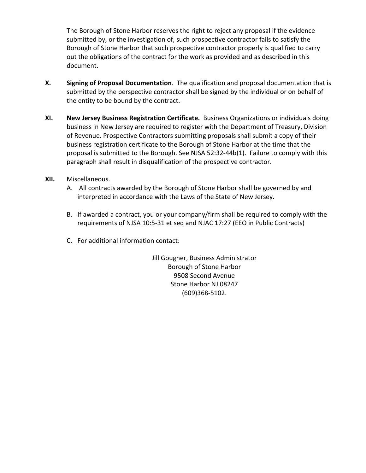The Borough of Stone Harbor reserves the right to reject any proposal if the evidence submitted by, or the investigation of, such prospective contractor fails to satisfy the Borough of Stone Harbor that such prospective contractor properly is qualified to carry out the obligations of the contract for the work as provided and as described in this document.

- **X. Signing of Proposal Documentation**. The qualification and proposal documentation that is submitted by the perspective contractor shall be signed by the individual or on behalf of the entity to be bound by the contract.
- **XI. New Jersey Business Registration Certificate.** Business Organizations or individuals doing business in New Jersey are required to register with the Department of Treasury, Division of Revenue. Prospective Contractors submitting proposals shall submit a copy of their business registration certificate to the Borough of Stone Harbor at the time that the proposal is submitted to the Borough. See NJSA 52:32-44b(1). Failure to comply with this paragraph shall result in disqualification of the prospective contractor.
- **XII.** Miscellaneous.
	- A. All contracts awarded by the Borough of Stone Harbor shall be governed by and interpreted in accordance with the Laws of the State of New Jersey.
	- B. If awarded a contract, you or your company/firm shall be required to comply with the requirements of NJSA 10:5-31 et seq and NJAC 17:27 (EEO in Public Contracts)
	- C. For additional information contact:

Jill Gougher, Business Administrator Borough of Stone Harbor 9508 Second Avenue Stone Harbor NJ 08247 (609)368-5102.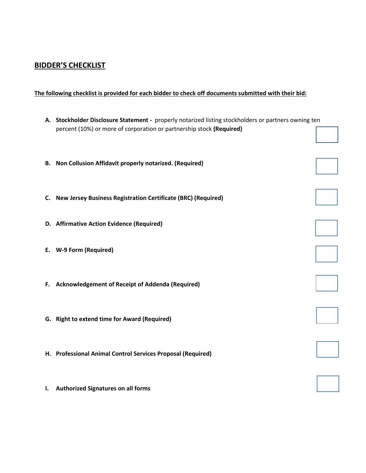## **BIDDER'S CHECKLIST**

**The following checklist is provided for each bidder to check off documents submitted with their bid:**

|    | A. Stockholder Disclosure Statement - properly notarized listing stockholders or partners owning ten<br>percent (10%) or more of corporation or partnership stock (Required) |  |
|----|------------------------------------------------------------------------------------------------------------------------------------------------------------------------------|--|
|    | B. Non Collusion Affidavit properly notarized. (Required)                                                                                                                    |  |
|    | C. New Jersey Business Registration Certificate (BRC) (Required)                                                                                                             |  |
|    | D. Affirmative Action Evidence (Required)                                                                                                                                    |  |
|    | E. W-9 Form (Required)                                                                                                                                                       |  |
|    | F. Acknowledgement of Receipt of Addenda (Required)                                                                                                                          |  |
|    | G. Right to extend time for Award (Required)                                                                                                                                 |  |
|    | H. Professional Animal Control Services Proposal (Required)                                                                                                                  |  |
| ı. | <b>Authorized Signatures on all forms</b>                                                                                                                                    |  |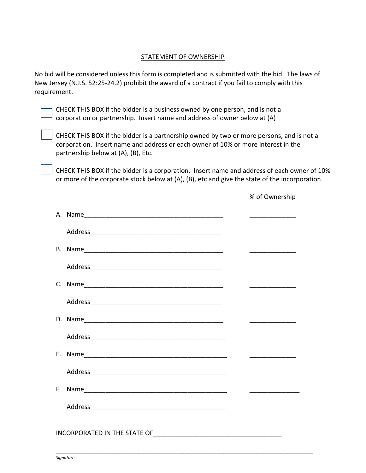#### STATEMENT OF OWNERSHIP

No bid will be considered unless this form is completed and is submitted with the bid. The laws of New Jersey (N.J.S. 52:25-24.2) prohibit the award of a contract if you fail to comply with this requirement.

CHECK THIS BOX if the bidder is a business owned by one person, and is not a corporation or partnership. Insert name and address of owner below at (A)

CHECK THIS BOX if the bidder is a partnership owned by two or more persons, and is not a corporation. Insert name and address or each owner of 10% or more interest in the partnership below at (A), (B), Etc.

CHECK THIS BOX if the bidder is a corporation. Insert name and address of each owner of 10% or more of the corporate stock below at (A), (B), etc and give the state of the incorporation.

% of Ownership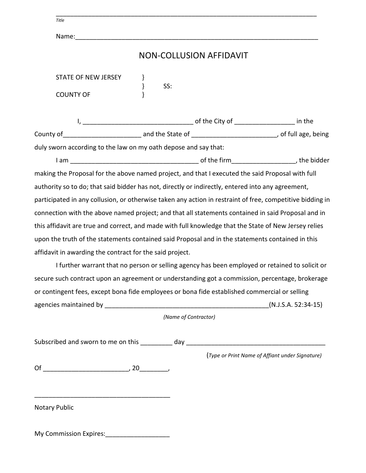| Title                                                                                                     |      |     |                                |                                                                                                |
|-----------------------------------------------------------------------------------------------------------|------|-----|--------------------------------|------------------------------------------------------------------------------------------------|
|                                                                                                           |      |     |                                |                                                                                                |
|                                                                                                           |      |     | <b>NON-COLLUSION AFFIDAVIT</b> |                                                                                                |
| STATE OF NEW JERSEY                                                                                       | $\}$ | SS: |                                |                                                                                                |
| <b>COUNTY OF</b>                                                                                          |      |     |                                |                                                                                                |
|                                                                                                           |      |     |                                |                                                                                                |
|                                                                                                           |      |     |                                |                                                                                                |
| duly sworn according to the law on my oath depose and say that:                                           |      |     |                                |                                                                                                |
|                                                                                                           |      |     |                                |                                                                                                |
| making the Proposal for the above named project, and that I executed the said Proposal with full          |      |     |                                |                                                                                                |
| authority so to do; that said bidder has not, directly or indirectly, entered into any agreement,         |      |     |                                |                                                                                                |
| participated in any collusion, or otherwise taken any action in restraint of free, competitive bidding in |      |     |                                |                                                                                                |
| connection with the above named project; and that all statements contained in said Proposal and in        |      |     |                                |                                                                                                |
| this affidavit are true and correct, and made with full knowledge that the State of New Jersey relies     |      |     |                                |                                                                                                |
| upon the truth of the statements contained said Proposal and in the statements contained in this          |      |     |                                |                                                                                                |
| affidavit in awarding the contract for the said project.                                                  |      |     |                                |                                                                                                |
|                                                                                                           |      |     |                                | I further warrant that no person or selling agency has been employed or retained to solicit or |
| secure such contract upon an agreement or understanding got a commission, percentage, brokerage           |      |     |                                |                                                                                                |
| or contingent fees, except bona fide employees or bona fide established commercial or selling             |      |     |                                |                                                                                                |
|                                                                                                           |      |     |                                | (N.J.S.A. 52:34-15)                                                                            |
|                                                                                                           |      |     | (Name of Contractor)           |                                                                                                |
|                                                                                                           |      |     |                                |                                                                                                |
|                                                                                                           |      |     |                                |                                                                                                |
|                                                                                                           |      |     |                                | (Type or Print Name of Affiant under Signature)                                                |
|                                                                                                           |      |     |                                |                                                                                                |
|                                                                                                           |      |     |                                |                                                                                                |
|                                                                                                           |      |     |                                |                                                                                                |
| <b>Notary Public</b>                                                                                      |      |     |                                |                                                                                                |

\_\_\_\_\_\_\_\_\_\_\_\_\_\_\_\_\_\_\_\_\_\_\_\_\_\_\_\_\_\_\_\_\_\_\_\_\_\_\_\_\_\_\_\_\_\_\_\_\_\_\_\_\_\_\_\_\_\_\_\_\_\_\_\_\_\_\_\_\_\_\_\_\_

My Commission Expires:\_\_\_\_\_\_\_\_\_\_\_\_\_\_\_\_\_\_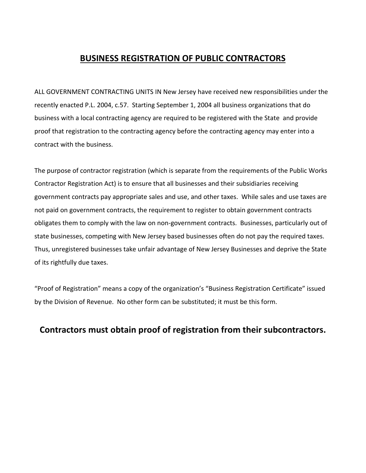## **BUSINESS REGISTRATION OF PUBLIC CONTRACTORS**

ALL GOVERNMENT CONTRACTING UNITS IN New Jersey have received new responsibilities under the recently enacted P.L. 2004, c.57. Starting September 1, 2004 all business organizations that do business with a local contracting agency are required to be registered with the State and provide proof that registration to the contracting agency before the contracting agency may enter into a contract with the business.

The purpose of contractor registration (which is separate from the requirements of the Public Works Contractor Registration Act) is to ensure that all businesses and their subsidiaries receiving government contracts pay appropriate sales and use, and other taxes. While sales and use taxes are not paid on government contracts, the requirement to register to obtain government contracts obligates them to comply with the law on non-government contracts. Businesses, particularly out of state businesses, competing with New Jersey based businesses often do not pay the required taxes. Thus, unregistered businesses take unfair advantage of New Jersey Businesses and deprive the State of its rightfully due taxes.

"Proof of Registration" means a copy of the organization's "Business Registration Certificate" issued by the Division of Revenue. No other form can be substituted; it must be this form.

## **Contractors must obtain proof of registration from their subcontractors.**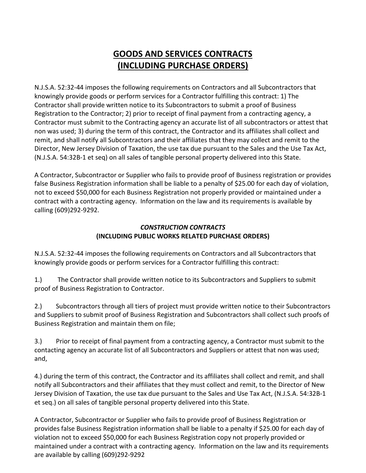# **GOODS AND SERVICES CONTRACTS (INCLUDING PURCHASE ORDERS)**

N.J.S.A. 52:32-44 imposes the following requirements on Contractors and all Subcontractors that knowingly provide goods or perform services for a Contractor fulfilling this contract: 1) The Contractor shall provide written notice to its Subcontractors to submit a proof of Business Registration to the Contractor; 2) prior to receipt of final payment from a contracting agency, a Contractor must submit to the Contracting agency an accurate list of all subcontractors or attest that non was used; 3) during the term of this contract, the Contractor and its affiliates shall collect and remit, and shall notify all Subcontractors and their affiliates that they may collect and remit to the Director, New Jersey Division of Taxation, the use tax due pursuant to the Sales and the Use Tax Act, (N.J.S.A. 54:32B-1 et seq) on all sales of tangible personal property delivered into this State.

A Contractor, Subcontractor or Supplier who fails to provide proof of Business registration or provides false Business Registration information shall be liable to a penalty of \$25.00 for each day of violation, not to exceed \$50,000 for each Business Registration not properly provided or maintained under a contract with a contracting agency. Information on the law and its requirements is available by calling (609)292-9292.

## *CONSTRUCTION CONTRACTS* **(INCLUDING PUBLIC WORKS RELATED PURCHASE ORDERS)**

N.J.S.A. 52:32-44 imposes the following requirements on Contractors and all Subcontractors that knowingly provide goods or perform services for a Contractor fulfilling this contract:

1.) The Contractor shall provide written notice to its Subcontractors and Suppliers to submit proof of Business Registration to Contractor.

2.) Subcontractors through all tiers of project must provide written notice to their Subcontractors and Suppliers to submit proof of Business Registration and Subcontractors shall collect such proofs of Business Registration and maintain them on file;

3.) Prior to receipt of final payment from a contracting agency, a Contractor must submit to the contacting agency an accurate list of all Subcontractors and Suppliers or attest that non was used; and,

4.) during the term of this contract, the Contractor and its affiliates shall collect and remit, and shall notify all Subcontractors and their affiliates that they must collect and remit, to the Director of New Jersey Division of Taxation, the use tax due pursuant to the Sales and Use Tax Act, (N.J.S.A. 54:32B-1 et seq.) on all sales of tangible personal property delivered into this State.

A Contractor, Subcontractor or Supplier who fails to provide proof of Business Registration or provides false Business Registration information shall be liable to a penalty if \$25.00 for each day of violation not to exceed \$50,000 for each Business Registration copy not properly provided or maintained under a contract with a contracting agency. Information on the law and its requirements are available by calling (609)292-9292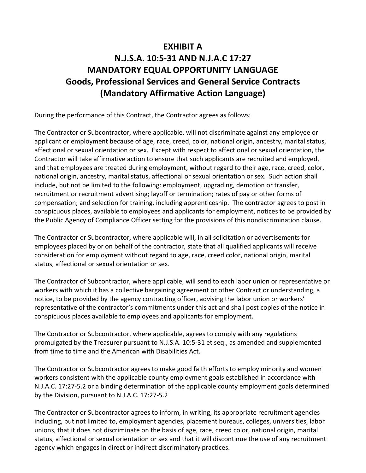# **EXHIBIT A**

# **N.J.S.A. 10:5-31 AND N.J.A.C 17:27 MANDATORY EQUAL OPPORTUNITY LANGUAGE Goods, Professional Services and General Service Contracts (Mandatory Affirmative Action Language)**

During the performance of this Contract, the Contractor agrees as follows:

The Contractor or Subcontractor, where applicable, will not discriminate against any employee or applicant or employment because of age, race, creed, color, national origin, ancestry, marital status, affectional or sexual orientation or sex. Except with respect to affectional or sexual orientation, the Contractor will take affirmative action to ensure that such applicants are recruited and employed, and that employees are treated during employment, without regard to their age, race, creed, color, national origin, ancestry, marital status, affectional or sexual orientation or sex. Such action shall include, but not be limited to the following: employment, upgrading, demotion or transfer, recruitment or recruitment advertising; layoff or termination; rates of pay or other forms of compensation; and selection for training, including apprenticeship. The contractor agrees to post in conspicuous places, available to employees and applicants for employment, notices to be provided by the Public Agency of Compliance Officer setting for the provisions of this nondiscrimination clause.

The Contractor or Subcontractor, where applicable will, in all solicitation or advertisements for employees placed by or on behalf of the contractor, state that all qualified applicants will receive consideration for employment without regard to age, race, creed color, national origin, marital status, affectional or sexual orientation or sex.

The Contractor of Subcontractor, where applicable, will send to each labor union or representative or workers with which it has a collective bargaining agreement or other Contract or understanding, a notice, to be provided by the agency contracting officer, advising the labor union or workers' representative of the contractor's commitments under this act and shall post copies of the notice in conspicuous places available to employees and applicants for employment.

The Contractor or Subcontractor, where applicable, agrees to comply with any regulations promulgated by the Treasurer pursuant to N.J.S.A. 10:5-31 et seq., as amended and supplemented from time to time and the American with Disabilities Act.

The Contractor or Subcontractor agrees to make good faith efforts to employ minority and women workers consistent with the applicable county employment goals established in accordance with N.J.A.C. 17:27-5.2 or a binding determination of the applicable county employment goals determined by the Division, pursuant to N.J.A.C. 17:27-5.2

The Contractor or Subcontractor agrees to inform, in writing, its appropriate recruitment agencies including, but not limited to, employment agencies, placement bureaus, colleges, universities, labor unions, that it does not discriminate on the basis of age, race, creed color, national origin, marital status, affectional or sexual orientation or sex and that it will discontinue the use of any recruitment agency which engages in direct or indirect discriminatory practices.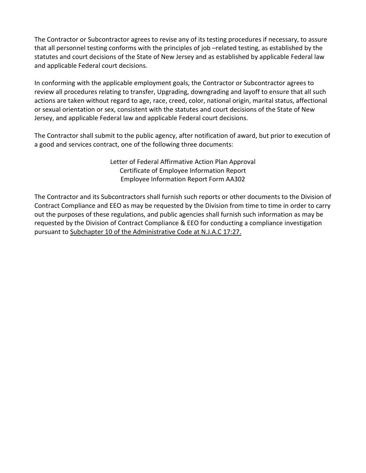The Contractor or Subcontractor agrees to revise any of its testing procedures if necessary, to assure that all personnel testing conforms with the principles of job –related testing, as established by the statutes and court decisions of the State of New Jersey and as established by applicable Federal law and applicable Federal court decisions.

In conforming with the applicable employment goals, the Contractor or Subcontractor agrees to review all procedures relating to transfer, Upgrading, downgrading and layoff to ensure that all such actions are taken without regard to age, race, creed, color, national origin, marital status, affectional or sexual orientation or sex, consistent with the statutes and court decisions of the State of New Jersey, and applicable Federal law and applicable Federal court decisions.

The Contractor shall submit to the public agency, after notification of award, but prior to execution of a good and services contract, one of the following three documents:

> Letter of Federal Affirmative Action Plan Approval Certificate of Employee Information Report Employee Information Report Form AA302

The Contractor and its Subcontractors shall furnish such reports or other documents to the Division of Contract Compliance and EEO as may be requested by the Division from time to time in order to carry out the purposes of these regulations, and public agencies shall furnish such information as may be requested by the Division of Contract Compliance & EEO for conducting a compliance investigation pursuant to Subchapter 10 of the Administrative Code at N.J.A.C 17:27.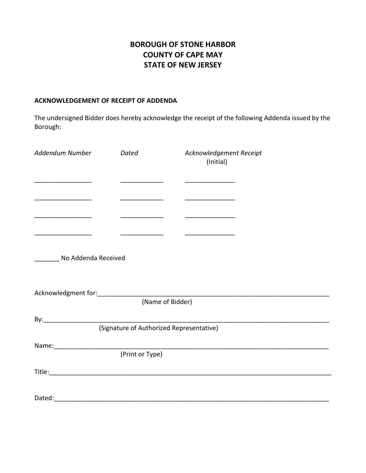## **BOROUGH OF STONE HARBOR COUNTY OF CAPE MAY STATE OF NEW JERSEY**

#### **ACKNOWLEDGEMENT OF RECEIPT OF ADDENDA**

The undersigned Bidder does hereby acknowledge the receipt of the following Addenda issued by the Borough:

| Addendum Number                          | Dated | Acknowledgement Receipt<br>(Initial) |  |  |  |
|------------------------------------------|-------|--------------------------------------|--|--|--|
|                                          |       |                                      |  |  |  |
|                                          |       |                                      |  |  |  |
| No Addenda Received                      |       |                                      |  |  |  |
|                                          |       | (Name of Bidder)                     |  |  |  |
|                                          |       |                                      |  |  |  |
| (Signature of Authorized Representative) |       |                                      |  |  |  |
|                                          |       | Name: (Print or Type)                |  |  |  |
|                                          |       |                                      |  |  |  |
|                                          |       |                                      |  |  |  |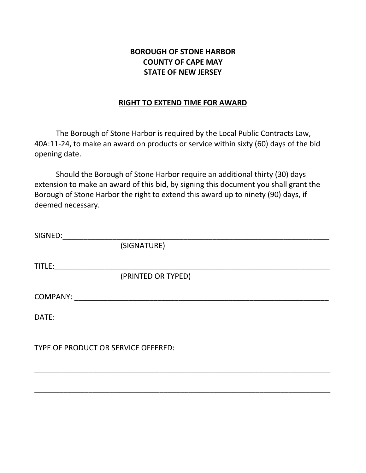## **BOROUGH OF STONE HARBOR COUNTY OF CAPE MAY STATE OF NEW JERSEY**

## **RIGHT TO EXTEND TIME FOR AWARD**

The Borough of Stone Harbor is required by the Local Public Contracts Law, 40A:11-24, to make an award on products or service within sixty (60) days of the bid opening date.

Should the Borough of Stone Harbor require an additional thirty (30) days extension to make an award of this bid, by signing this document you shall grant the Borough of Stone Harbor the right to extend this award up to ninety (90) days, if deemed necessary.

| SIGNED:  |                                     |  |
|----------|-------------------------------------|--|
|          | (SIGNATURE)                         |  |
|          |                                     |  |
| TITLE:   |                                     |  |
|          | (PRINTED OR TYPED)                  |  |
|          |                                     |  |
| COMPANY: |                                     |  |
| DATE:    |                                     |  |
|          |                                     |  |
|          |                                     |  |
|          |                                     |  |
|          | TYPE OF PRODUCT OR SERVICE OFFERED: |  |

\_\_\_\_\_\_\_\_\_\_\_\_\_\_\_\_\_\_\_\_\_\_\_\_\_\_\_\_\_\_\_\_\_\_\_\_\_\_\_\_\_\_\_\_\_\_\_\_\_\_\_\_\_\_\_\_\_\_\_\_\_\_\_\_\_\_\_\_\_\_\_

\_\_\_\_\_\_\_\_\_\_\_\_\_\_\_\_\_\_\_\_\_\_\_\_\_\_\_\_\_\_\_\_\_\_\_\_\_\_\_\_\_\_\_\_\_\_\_\_\_\_\_\_\_\_\_\_\_\_\_\_\_\_\_\_\_\_\_\_\_\_\_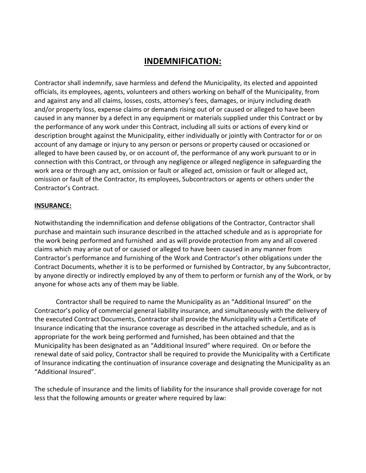## **INDEMNIFICATION:**

Contractor shall indemnify, save harmless and defend the Municipality, its elected and appointed officials, its employees, agents, volunteers and others working on behalf of the Municipality, from and against any and all claims, losses, costs, attorney's fees, damages, or injury including death and/or property loss, expense claims or demands rising out of or caused or alleged to have been caused in any manner by a defect in any equipment or materials supplied under this Contract or by the performance of any work under this Contract, including all suits or actions of every kind or description brought against the Municipality, either individually or jointly with Contractor for or on account of any damage or injury to any person or persons or property caused or occasioned or alleged to have been caused by, or on account of, the performance of any work pursuant to or in connection with this Contract, or through any negligence or alleged negligence in safeguarding the work area or through any act, omission or fault or alleged act, omission or fault or alleged act, omission or fault of the Contractor, its employees, Subcontractors or agents or others under the Contractor's Contract.

#### **INSURANCE:**

Notwithstanding the indemnification and defense obligations of the Contractor, Contractor shall purchase and maintain such insurance described in the attached schedule and as is appropriate for the work being performed and furnished and as will provide protection from any and all covered claims which may arise out of or caused or alleged to have been caused in any manner from Contractor's performance and furnishing of the Work and Contractor's other obligations under the Contract Documents, whether it is to be performed or furnished by Contractor, by any Subcontractor, by anyone directly or indirectly employed by any of them to perform or furnish any of the Work, or by anyone for whose acts any of them may be liable.

Contractor shall be required to name the Municipality as an "Additional Insured" on the Contractor's policy of commercial general liability insurance, and simultaneously with the delivery of the executed Contract Documents, Contractor shall provide the Municipality with a Certificate of Insurance indicating that the insurance coverage as described in the attached schedule, and as is appropriate for the work being performed and furnished, has been obtained and that the Municipality has been designated as an "Additional Insured" where required. On or before the renewal date of said policy, Contractor shall be required to provide the Municipality with a Certificate of Insurance indicating the continuation of insurance coverage and designating the Municipality as an "Additional Insured".

The schedule of insurance and the limits of liability for the insurance shall provide coverage for not less that the following amounts or greater where required by law: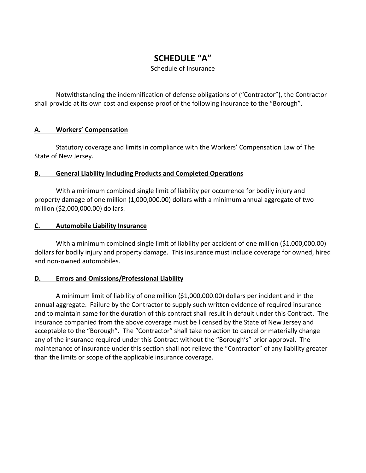# **SCHEDULE "A"**

Schedule of Insurance

Notwithstanding the indemnification of defense obligations of ("Contractor"), the Contractor shall provide at its own cost and expense proof of the following insurance to the "Borough".

## **A. Workers' Compensation**

Statutory coverage and limits in compliance with the Workers' Compensation Law of The State of New Jersey.

## **B. General Liability Including Products and Completed Operations**

With a minimum combined single limit of liability per occurrence for bodily injury and property damage of one million (1,000,000.00) dollars with a minimum annual aggregate of two million (\$2,000,000.00) dollars.

## **C. Automobile Liability Insurance**

With a minimum combined single limit of liability per accident of one million (\$1,000,000.00) dollars for bodily injury and property damage. This insurance must include coverage for owned, hired and non-owned automobiles.

## **D. Errors and Omissions/Professional Liability**

A minimum limit of liability of one million (\$1,000,000.00) dollars per incident and in the annual aggregate. Failure by the Contractor to supply such written evidence of required insurance and to maintain same for the duration of this contract shall result in default under this Contract. The insurance companied from the above coverage must be licensed by the State of New Jersey and acceptable to the "Borough". The "Contractor" shall take no action to cancel or materially change any of the insurance required under this Contract without the "Borough's" prior approval. The maintenance of insurance under this section shall not relieve the "Contractor" of any liability greater than the limits or scope of the applicable insurance coverage.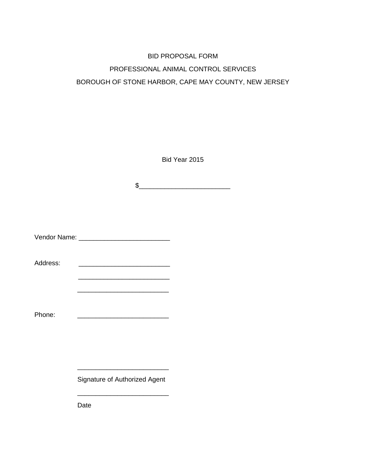# BID PROPOSAL FORM PROFESSIONAL ANIMAL CONTROL SERVICES BOROUGH OF STONE HARBOR, CAPE MAY COUNTY, NEW JERSEY

Bid Year 2015

 $\frac{1}{2}$ 

Vendor Name: \_\_\_\_\_\_\_\_\_\_\_\_\_\_\_\_\_\_\_\_\_\_\_\_\_

Address: \_\_\_\_\_\_\_\_\_\_\_\_\_\_\_\_\_\_\_\_\_\_\_\_\_

 $\frac{1}{2}$  ,  $\frac{1}{2}$  ,  $\frac{1}{2}$  ,  $\frac{1}{2}$  ,  $\frac{1}{2}$  ,  $\frac{1}{2}$  ,  $\frac{1}{2}$  ,  $\frac{1}{2}$  ,  $\frac{1}{2}$  ,  $\frac{1}{2}$  ,  $\frac{1}{2}$  ,  $\frac{1}{2}$  ,  $\frac{1}{2}$  ,  $\frac{1}{2}$  ,  $\frac{1}{2}$  ,  $\frac{1}{2}$  ,  $\frac{1}{2}$  ,  $\frac{1}{2}$  ,  $\frac{1$ 

Phone: \_\_\_\_\_\_\_\_\_\_\_\_\_\_\_\_\_\_\_\_\_\_\_\_\_

Signature of Authorized Agent

\_\_\_\_\_\_\_\_\_\_\_\_\_\_\_\_\_\_\_\_\_\_\_\_\_

\_\_\_\_\_\_\_\_\_\_\_\_\_\_\_\_\_\_\_\_\_\_\_\_\_

\_\_\_\_\_\_\_\_\_\_\_\_\_\_\_\_\_\_\_\_\_\_\_\_\_

Date